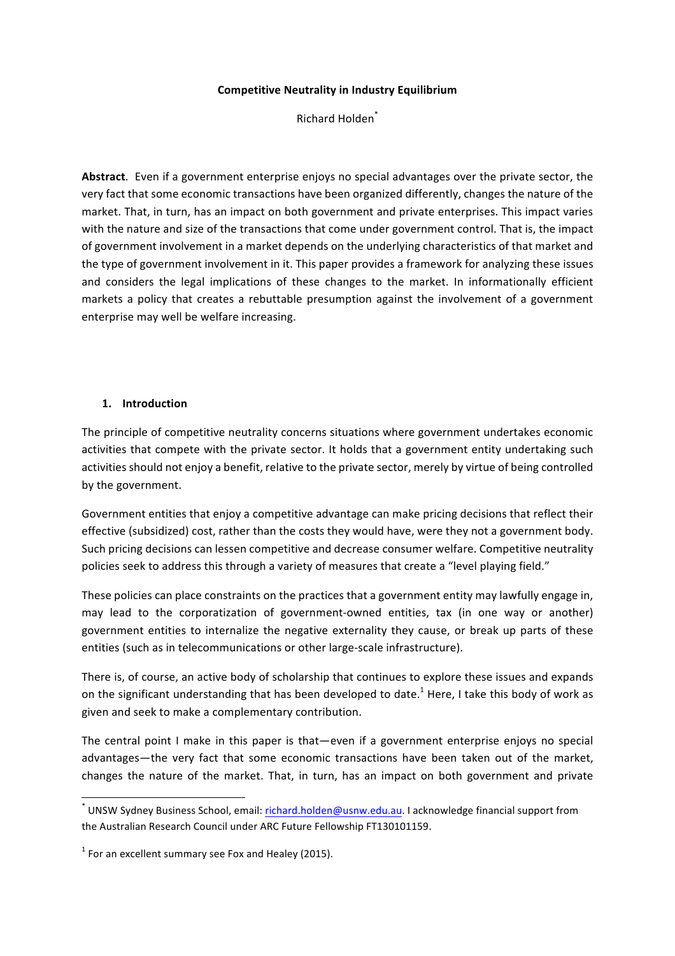#### **Competitive Neutrality in Industry Equilibrium**

Richard Holden<sup>\*</sup>

Abstract. Even if a government enterprise enjoys no special advantages over the private sector, the very fact that some economic transactions have been organized differently, changes the nature of the market. That, in turn, has an impact on both government and private enterprises. This impact varies with the nature and size of the transactions that come under government control. That is, the impact of government involvement in a market depends on the underlying characteristics of that market and the type of government involvement in it. This paper provides a framework for analyzing these issues and considers the legal implications of these changes to the market. In informationally efficient markets a policy that creates a rebuttable presumption against the involvement of a government enterprise may well be welfare increasing.

### **1. Introduction**

The principle of competitive neutrality concerns situations where government undertakes economic activities that compete with the private sector. It holds that a government entity undertaking such activities should not enjoy a benefit, relative to the private sector, merely by virtue of being controlled by the government.

Government entities that enjoy a competitive advantage can make pricing decisions that reflect their effective (subsidized) cost, rather than the costs they would have, were they not a government body. Such pricing decisions can lessen competitive and decrease consumer welfare. Competitive neutrality policies seek to address this through a variety of measures that create a "level playing field."

These policies can place constraints on the practices that a government entity may lawfully engage in, may lead to the corporatization of government-owned entities, tax (in one way or another) government entities to internalize the negative externality they cause, or break up parts of these entities (such as in telecommunications or other large-scale infrastructure).

There is, of course, an active body of scholarship that continues to explore these issues and expands on the significant understanding that has been developed to date.<sup>1</sup> Here, I take this body of work as given and seek to make a complementary contribution.

The central point I make in this paper is that—even if a government enterprise enjoys no special advantages—the very fact that some economic transactions have been taken out of the market, changes the nature of the market. That, in turn, has an impact on both government and private

 $^*$  UNSW Sydney Business School, email: richard.holden@usnw.edu.au. I acknowledge financial support from the Australian Research Council under ARC Future Fellowship FT130101159.

 $1$  For an excellent summary see Fox and Healey (2015).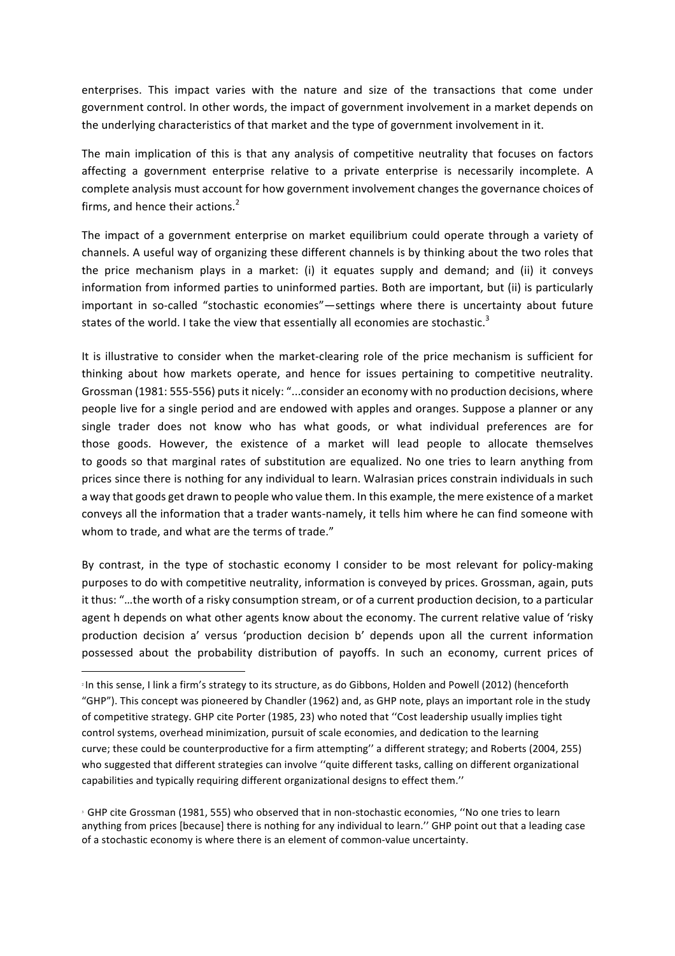enterprises. This impact varies with the nature and size of the transactions that come under government control. In other words, the impact of government involvement in a market depends on the underlying characteristics of that market and the type of government involvement in it.

The main implication of this is that any analysis of competitive neutrality that focuses on factors affecting a government enterprise relative to a private enterprise is necessarily incomplete. A complete analysis must account for how government involvement changes the governance choices of firms, and hence their actions. $<sup>2</sup>$ </sup>

The impact of a government enterprise on market equilibrium could operate through a variety of channels. A useful way of organizing these different channels is by thinking about the two roles that the price mechanism plays in a market: (i) it equates supply and demand; and (ii) it conveys information from informed parties to uninformed parties. Both are important, but (ii) is particularly important in so-called "stochastic economies"—settings where there is uncertainty about future states of the world. I take the view that essentially all economies are stochastic.<sup>3</sup>

It is illustrative to consider when the market-clearing role of the price mechanism is sufficient for thinking about how markets operate, and hence for issues pertaining to competitive neutrality. Grossman (1981: 555-556) puts it nicely: "...consider an economy with no production decisions, where people live for a single period and are endowed with apples and oranges. Suppose a planner or any single trader does not know who has what goods, or what individual preferences are for those goods. However, the existence of a market will lead people to allocate themselves to goods so that marginal rates of substitution are equalized. No one tries to learn anything from prices since there is nothing for any individual to learn. Walrasian prices constrain individuals in such a way that goods get drawn to people who value them. In this example, the mere existence of a market conveys all the information that a trader wants-namely, it tells him where he can find someone with whom to trade, and what are the terms of trade."

By contrast, in the type of stochastic economy I consider to be most relevant for policy-making purposes to do with competitive neutrality, information is conveyed by prices. Grossman, again, puts it thus: "...the worth of a risky consumption stream, or of a current production decision, to a particular agent h depends on what other agents know about the economy. The current relative value of 'risky production decision a' versus 'production decision b' depends upon all the current information possessed about the probability distribution of payoffs. In such an economy, current prices of

<u> 1989 - Johann Barn, mars eta bainar eta industrial eta baina eta baina eta baina eta baina eta baina eta bain</u>

<sup>&</sup>lt;sup>2</sup> In this sense, I link a firm's strategy to its structure, as do Gibbons, Holden and Powell (2012) (henceforth "GHP"). This concept was pioneered by Chandler (1962) and, as GHP note, plays an important role in the study of competitive strategy. GHP cite Porter (1985, 23) who noted that "Cost leadership usually implies tight control systems, overhead minimization, pursuit of scale economies, and dedication to the learning curve; these could be counterproductive for a firm attempting" a different strategy; and Roberts (2004, 255) who suggested that different strategies can involve "quite different tasks, calling on different organizational capabilities and typically requiring different organizational designs to effect them."

<sup>&</sup>lt;sup>3</sup> GHP cite Grossman (1981, 555) who observed that in non-stochastic economies, "No one tries to learn anything from prices [because] there is nothing for any individual to learn." GHP point out that a leading case of a stochastic economy is where there is an element of common-value uncertainty.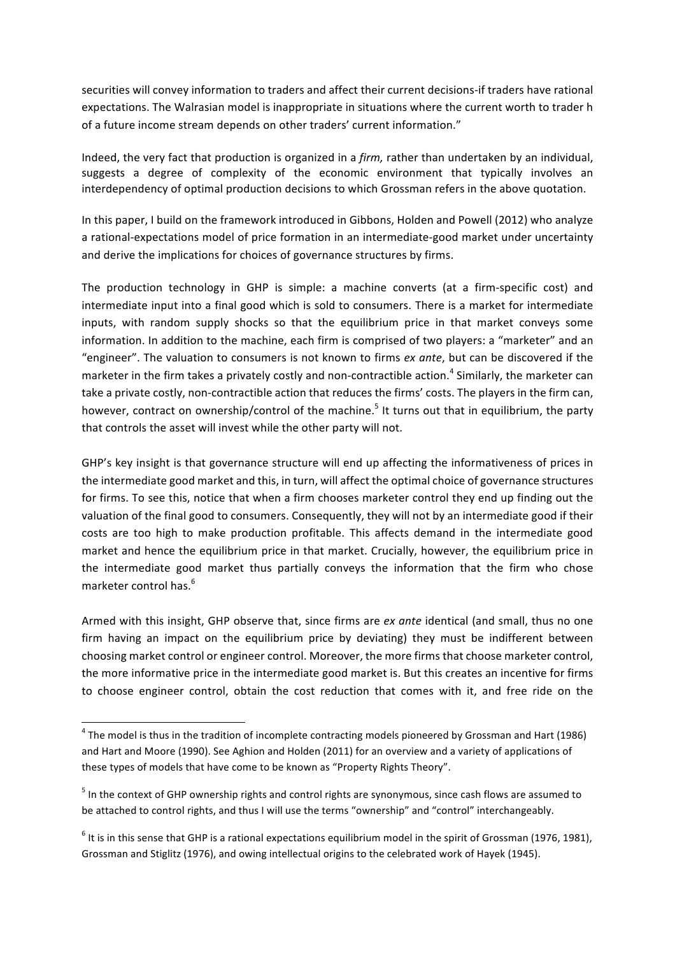securities will convey information to traders and affect their current decisions-if traders have rational expectations. The Walrasian model is inappropriate in situations where the current worth to trader h of a future income stream depends on other traders' current information."

Indeed, the very fact that production is organized in a *firm,* rather than undertaken by an individual, suggests a degree of complexity of the economic environment that typically involves an interdependency of optimal production decisions to which Grossman refers in the above quotation.

In this paper, I build on the framework introduced in Gibbons, Holden and Powell (2012) who analyze a rational-expectations model of price formation in an intermediate-good market under uncertainty and derive the implications for choices of governance structures by firms.

The production technology in GHP is simple: a machine converts (at a firm-specific cost) and intermediate input into a final good which is sold to consumers. There is a market for intermediate inputs, with random supply shocks so that the equilibrium price in that market conveys some information. In addition to the machine, each firm is comprised of two players: a "marketer" and an "engineer". The valuation to consumers is not known to firms ex ante, but can be discovered if the marketer in the firm takes a privately costly and non-contractible action.<sup>4</sup> Similarly, the marketer can take a private costly, non-contractible action that reduces the firms' costs. The players in the firm can, however, contract on ownership/control of the machine.<sup>5</sup> It turns out that in equilibrium, the party that controls the asset will invest while the other party will not.

GHP's key insight is that governance structure will end up affecting the informativeness of prices in the intermediate good market and this, in turn, will affect the optimal choice of governance structures for firms. To see this, notice that when a firm chooses marketer control they end up finding out the valuation of the final good to consumers. Consequently, they will not by an intermediate good if their costs are too high to make production profitable. This affects demand in the intermediate good market and hence the equilibrium price in that market. Crucially, however, the equilibrium price in the intermediate good market thus partially conveys the information that the firm who chose marketer control has.<sup>6</sup>

Armed with this insight, GHP observe that, since firms are *ex ante* identical (and small, thus no one firm having an impact on the equilibrium price by deviating) they must be indifferent between choosing market control or engineer control. Moreover, the more firms that choose marketer control, the more informative price in the intermediate good market is. But this creates an incentive for firms to choose engineer control, obtain the cost reduction that comes with it, and free ride on the

 

 $4$  The model is thus in the tradition of incomplete contracting models pioneered by Grossman and Hart (1986) and Hart and Moore (1990). See Aghion and Holden (2011) for an overview and a variety of applications of these types of models that have come to be known as "Property Rights Theory".

 $<sup>5</sup>$  In the context of GHP ownership rights and control rights are synonymous, since cash flows are assumed to</sup> be attached to control rights, and thus I will use the terms "ownership" and "control" interchangeably.

 $6$  It is in this sense that GHP is a rational expectations equilibrium model in the spirit of Grossman (1976, 1981), Grossman and Stiglitz (1976), and owing intellectual origins to the celebrated work of Hayek (1945).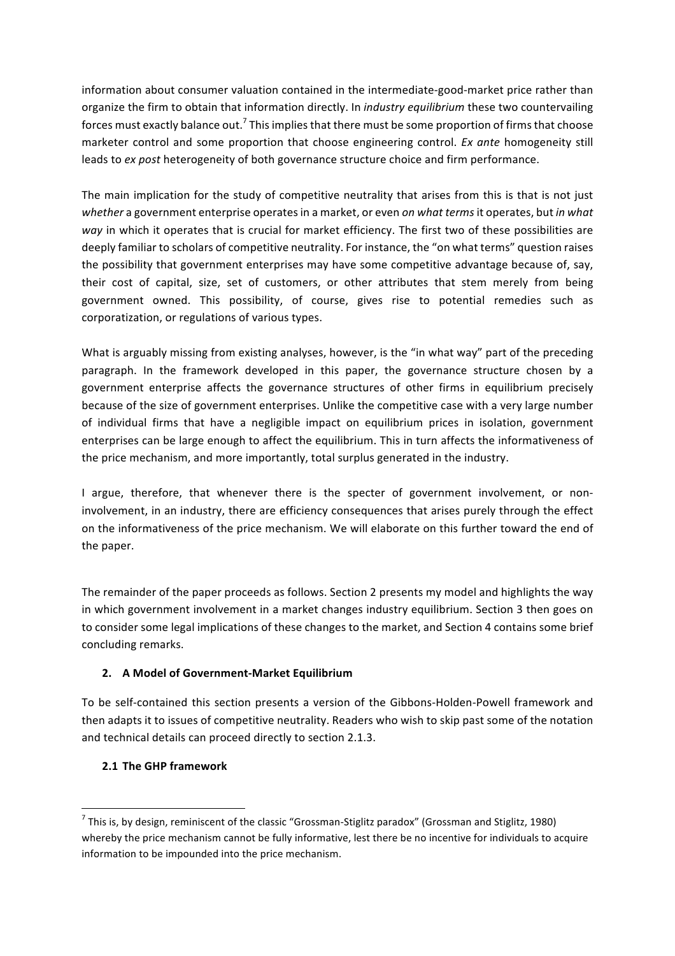information about consumer valuation contained in the intermediate-good-market price rather than organize the firm to obtain that information directly. In *industry equilibrium* these two countervailing forces must exactly balance out.<sup>7</sup> This implies that there must be some proportion of firms that choose marketer control and some proportion that choose engineering control. *Ex ante* homogeneity still leads to *ex post* heterogeneity of both governance structure choice and firm performance.

The main implication for the study of competitive neutrality that arises from this is that is not just whether a government enterprise operates in a market, or even *on what terms* it operates, but *in what way* in which it operates that is crucial for market efficiency. The first two of these possibilities are deeply familiar to scholars of competitive neutrality. For instance, the "on what terms" question raises the possibility that government enterprises may have some competitive advantage because of, say, their cost of capital, size, set of customers, or other attributes that stem merely from being government owned. This possibility, of course, gives rise to potential remedies such as corporatization, or regulations of various types.

What is arguably missing from existing analyses, however, is the "in what way" part of the preceding paragraph. In the framework developed in this paper, the governance structure chosen by a government enterprise affects the governance structures of other firms in equilibrium precisely because of the size of government enterprises. Unlike the competitive case with a very large number of individual firms that have a negligible impact on equilibrium prices in isolation, government enterprises can be large enough to affect the equilibrium. This in turn affects the informativeness of the price mechanism, and more importantly, total surplus generated in the industry.

I argue, therefore, that whenever there is the specter of government involvement, or noninvolvement, in an industry, there are efficiency consequences that arises purely through the effect on the informativeness of the price mechanism. We will elaborate on this further toward the end of the paper.

The remainder of the paper proceeds as follows. Section 2 presents my model and highlights the way in which government involvement in a market changes industry equilibrium. Section 3 then goes on to consider some legal implications of these changes to the market, and Section 4 contains some brief concluding remarks.

# **2. A Model of Government-Market Equilibrium**

To be self-contained this section presents a version of the Gibbons-Holden-Powell framework and then adapts it to issues of competitive neutrality. Readers who wish to skip past some of the notation and technical details can proceed directly to section 2.1.3.

## **2.1 The GHP framework**

<u> 1989 - Johann Barn, mars eta bainar eta industrial eta baina eta baina eta baina eta baina eta baina eta bain</u>

 $^7$  This is, by design, reminiscent of the classic "Grossman-Stiglitz paradox" (Grossman and Stiglitz, 1980) whereby the price mechanism cannot be fully informative, lest there be no incentive for individuals to acquire information to be impounded into the price mechanism.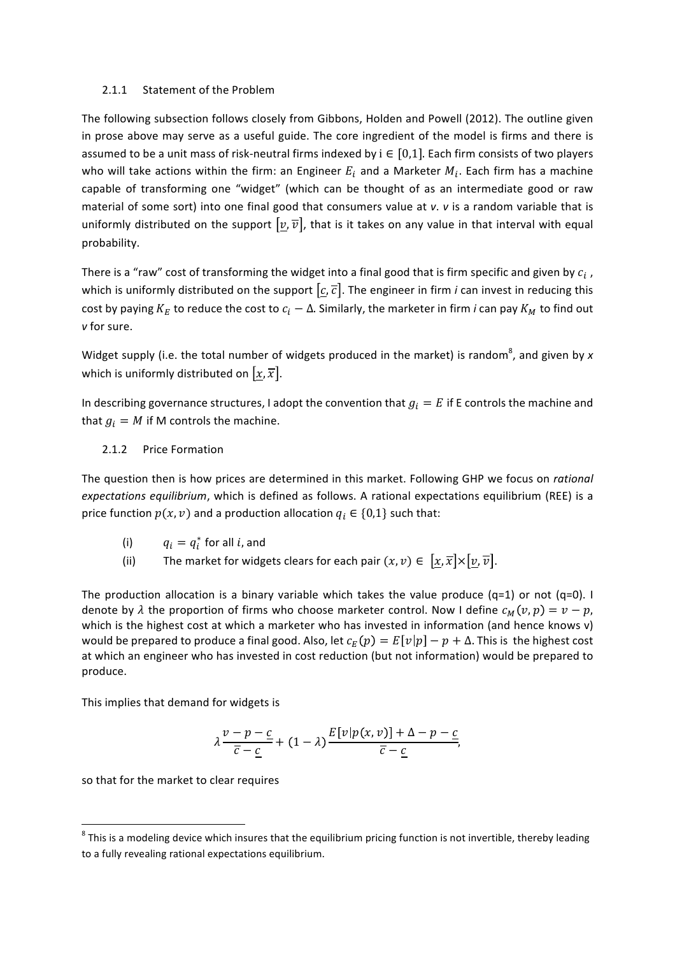#### 2.1.1 Statement of the Problem

The following subsection follows closely from Gibbons, Holden and Powell (2012). The outline given in prose above may serve as a useful guide. The core ingredient of the model is firms and there is assumed to be a unit mass of risk-neutral firms indexed by  $i \in [0,1]$ . Each firm consists of two players who will take actions within the firm: an Engineer  $E_i$  and a Marketer  $M_i$ . Each firm has a machine capable of transforming one "widget" (which can be thought of as an intermediate good or raw material of some sort) into one final good that consumers value at *v*. *v* is a random variable that is uniformly distributed on the support  $[v, \overline{v}]$ , that is it takes on any value in that interval with equal probability.

There is a "raw" cost of transforming the widget into a final good that is firm specific and given by  $c_i$ , which is uniformly distributed on the support  $[c, \overline{c}]$ . The engineer in firm *i* can invest in reducing this cost by paying  $K_E$  to reduce the cost to  $c_i - \Delta$ . Similarly, the marketer in firm *i* can pay  $K_M$  to find out *v* for sure.

Widget supply (i.e. the total number of widgets produced in the market) is random<sup>8</sup>, and given by *x* which is uniformly distributed on  $\lbrack x,\overline{x}\rbrack$ .

In describing governance structures, I adopt the convention that  $g_i = E$  if E controls the machine and that  $g_i = M$  if M controls the machine.

2.1.2 Price Formation

The question then is how prices are determined in this market. Following GHP we focus on *rational expectations equilibrium*, which is defined as follows. A rational expectations equilibrium (REE) is a price function  $p(x, v)$  and a production allocation  $q_i \in \{0, 1\}$  such that:

(i) 
$$
q_i = q_i^*
$$
 for all *i*, and

(ii) The market for widgets clears for each pair  $(x, v) \in [x, \overline{x}] \times [v, \overline{v}]$ .

The production allocation is a binary variable which takes the value produce  $(q=1)$  or not  $(q=0)$ . I denote by  $\lambda$  the proportion of firms who choose marketer control. Now I define  $c_M(v, p) = v - p$ , which is the highest cost at which a marketer who has invested in information (and hence knows v) would be prepared to produce a final good. Also, let  $c_E(p) = E[v|p] - p + \Delta$ . This is the highest cost at which an engineer who has invested in cost reduction (but not information) would be prepared to produce.

This implies that demand for widgets is

$$
\lambda \frac{v-p-\underline{c}}{\overline{c}-\underline{c}} + (1-\lambda) \frac{E[v|p(x,v)] + \Delta - p - \underline{c}}{\overline{c}-\underline{c}},
$$

so that for the market to clear requires

 $8$  This is a modeling device which insures that the equilibrium pricing function is not invertible, thereby leading to a fully revealing rational expectations equilibrium.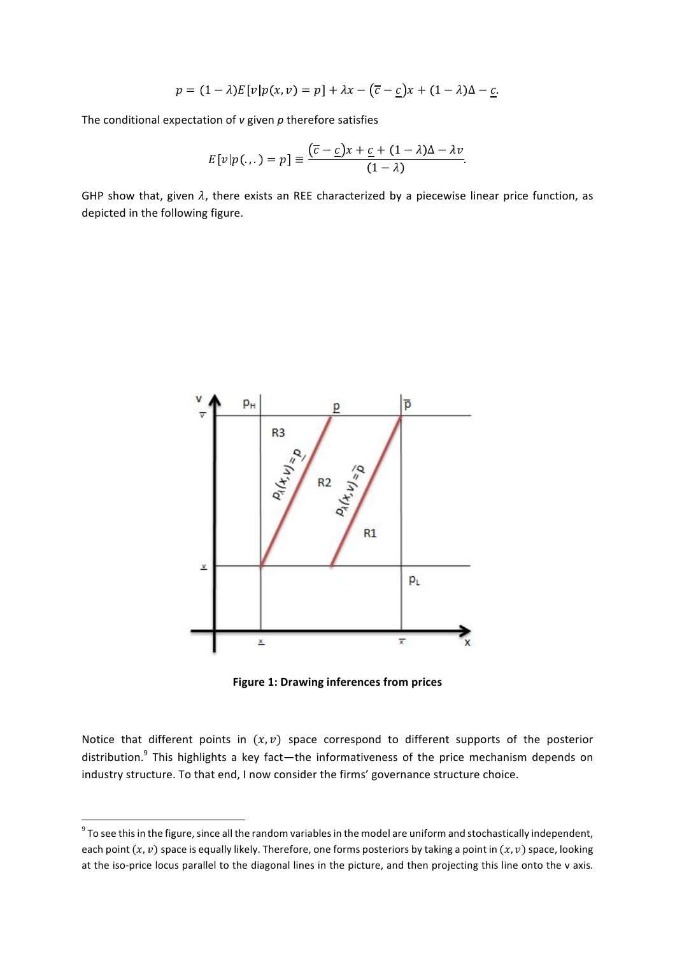$$
p = (1 - \lambda)E[v]p(x, v) = p] + \lambda x - (\overline{c} - \underline{c})x + (1 - \lambda)\Delta - \underline{c}.
$$

The conditional expectation of *v* given *p* therefore satisfies

$$
E[v|p(...)=p] \equiv \frac{(\overline{c}-\underline{c})x + \underline{c} + (1-\lambda)\Delta - \lambda v}{(1-\lambda)}.
$$

GHP show that, given  $\lambda$ , there exists an REE characterized by a piecewise linear price function, as depicted in the following figure.



**Figure 1: Drawing inferences from prices** 

Notice that different points in  $(x, v)$  space correspond to different supports of the posterior distribution.<sup>9</sup> This highlights a key fact—the informativeness of the price mechanism depends on industry structure. To that end, I now consider the firms' governance structure choice.

 $9$  To see this in the figure, since all the random variables in the model are uniform and stochastically independent, each point  $(x, v)$  space is equally likely. Therefore, one forms posteriors by taking a point in  $(x, v)$  space, looking at the iso-price locus parallel to the diagonal lines in the picture, and then projecting this line onto the v axis.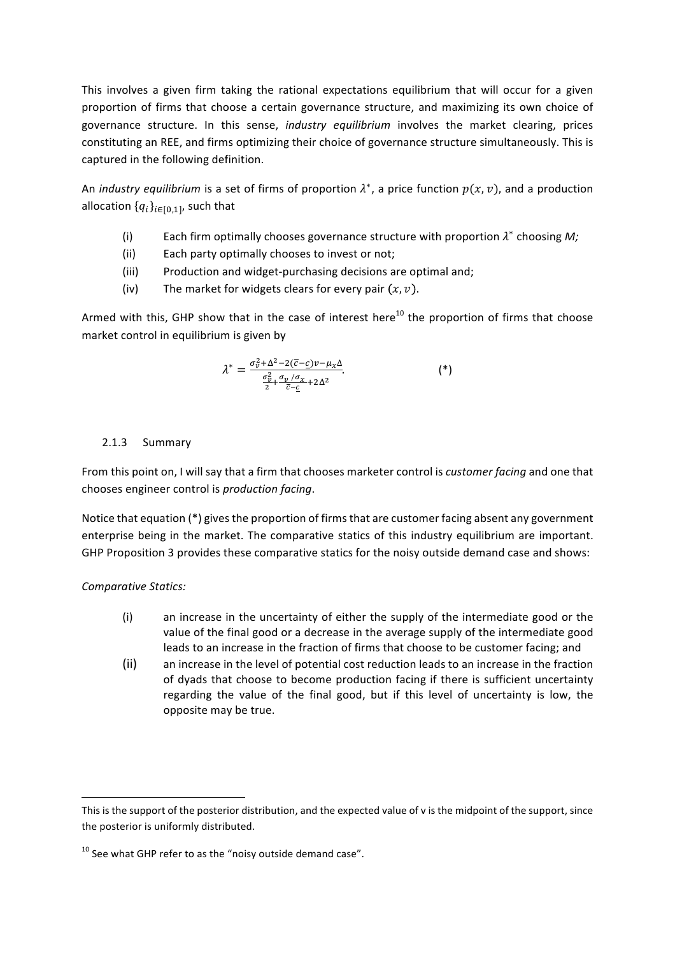This involves a given firm taking the rational expectations equilibrium that will occur for a given proportion of firms that choose a certain governance structure, and maximizing its own choice of governance structure. In this sense, *industry equilibrium* involves the market clearing, prices constituting an REE, and firms optimizing their choice of governance structure simultaneously. This is captured in the following definition.

An *industry equilibrium* is a set of firms of proportion  $\lambda^*$ , a price function  $p(x, v)$ , and a production allocation  $\{q_i\}_{i\in I_0,1]}$ , such that

- (i) Each firm optimally chooses governance structure with proportion  $\lambda^*$  choosing *M*;
- (ii) Each party optimally chooses to invest or not;
- (iii) Production and widget-purchasing decisions are optimal and;
- (iv) The market for widgets clears for every pair  $(x, v)$ .

Armed with this, GHP show that in the case of interest here<sup>10</sup> the proportion of firms that choose market control in equilibrium is given by

$$
\lambda^* = \frac{\sigma_v^2 + \Delta^2 - 2(\overline{c} - \underline{c})v - \mu_x \Delta}{\frac{\sigma_v^2}{2} + \frac{\sigma_v}{\overline{c} - \underline{c}} + 2\Delta^2}.
$$
 (\*)

### 2.1.3 Summary

From this point on, I will say that a firm that chooses marketer control is *customer facing* and one that chooses engineer control is *production facing*.

Notice that equation  $(*)$  gives the proportion of firms that are customer facing absent any government enterprise being in the market. The comparative statics of this industry equilibrium are important. GHP Proposition 3 provides these comparative statics for the noisy outside demand case and shows:

## **Comparative Statics:**

- $(i)$  an increase in the uncertainty of either the supply of the intermediate good or the value of the final good or a decrease in the average supply of the intermediate good leads to an increase in the fraction of firms that choose to be customer facing; and
- (ii) an increase in the level of potential cost reduction leads to an increase in the fraction of dyads that choose to become production facing if there is sufficient uncertainty regarding the value of the final good, but if this level of uncertainty is low, the opposite may be true.

This is the support of the posterior distribution, and the expected value of v is the midpoint of the support, since the posterior is uniformly distributed.

 $10$  See what GHP refer to as the "noisy outside demand case".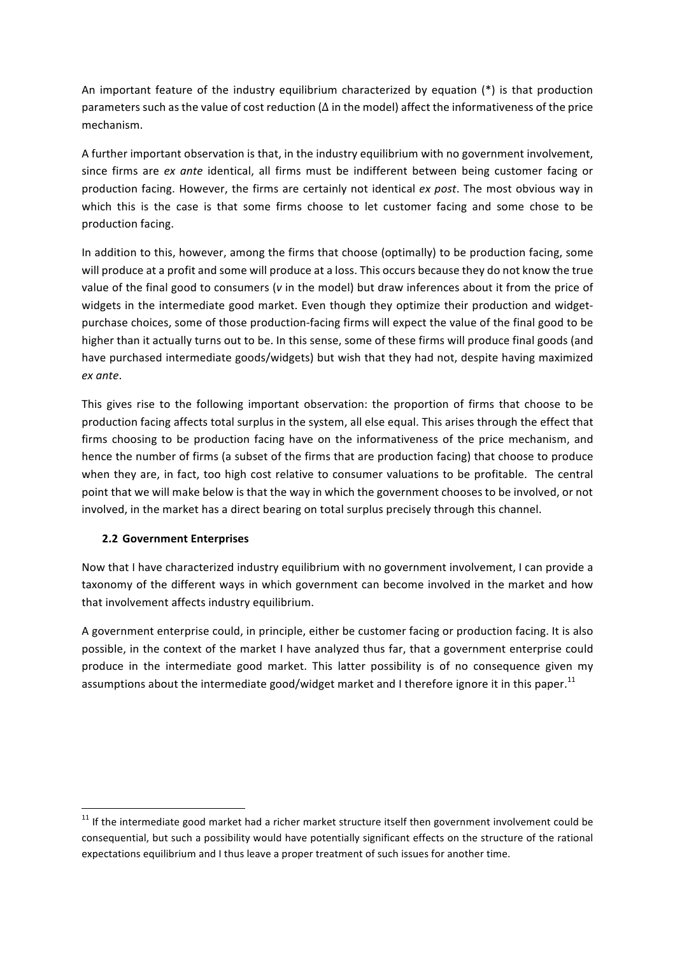An important feature of the industry equilibrium characterized by equation  $(*)$  is that production parameters such as the value of cost reduction  $(\Delta$  in the model) affect the informativeness of the price mechanism.

A further important observation is that, in the industry equilibrium with no government involvement, since firms are *ex ante* identical, all firms must be indifferent between being customer facing or production facing. However, the firms are certainly not identical *ex post*. The most obvious way in which this is the case is that some firms choose to let customer facing and some chose to be production facing.

In addition to this, however, among the firms that choose (optimally) to be production facing, some will produce at a profit and some will produce at a loss. This occurs because they do not know the true value of the final good to consumers (*v* in the model) but draw inferences about it from the price of widgets in the intermediate good market. Even though they optimize their production and widgetpurchase choices, some of those production-facing firms will expect the value of the final good to be higher than it actually turns out to be. In this sense, some of these firms will produce final goods (and have purchased intermediate goods/widgets) but wish that they had not, despite having maximized *ex ante*.

This gives rise to the following important observation: the proportion of firms that choose to be production facing affects total surplus in the system, all else equal. This arises through the effect that firms choosing to be production facing have on the informativeness of the price mechanism, and hence the number of firms (a subset of the firms that are production facing) that choose to produce when they are, in fact, too high cost relative to consumer valuations to be profitable. The central point that we will make below is that the way in which the government chooses to be involved, or not involved, in the market has a direct bearing on total surplus precisely through this channel.

## **2.2 Government Enterprises**

<u> 1989 - Johann Barn, mars eta bainar eta industrial eta baina eta baina eta baina eta baina eta baina eta bain</u>

Now that I have characterized industry equilibrium with no government involvement, I can provide a taxonomy of the different ways in which government can become involved in the market and how that involvement affects industry equilibrium.

A government enterprise could, in principle, either be customer facing or production facing. It is also possible, in the context of the market I have analyzed thus far, that a government enterprise could produce in the intermediate good market. This latter possibility is of no consequence given my assumptions about the intermediate good/widget market and I therefore ignore it in this paper.<sup>11</sup>

 $11$  If the intermediate good market had a richer market structure itself then government involvement could be consequential, but such a possibility would have potentially significant effects on the structure of the rational expectations equilibrium and I thus leave a proper treatment of such issues for another time.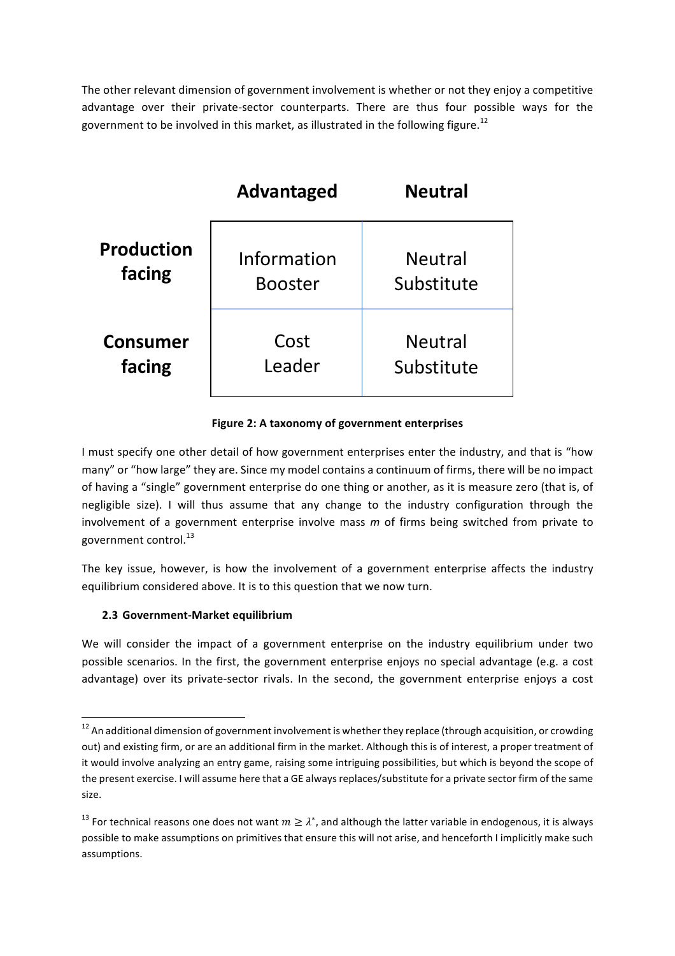The other relevant dimension of government involvement is whether or not they enjoy a competitive advantage over their private-sector counterparts. There are thus four possible ways for the government to be involved in this market, as illustrated in the following figure.<sup>12</sup>

|                   | <b>Advantaged</b> | <b>Neutral</b> |
|-------------------|-------------------|----------------|
| <b>Production</b> | Information       | <b>Neutral</b> |
| facing            | <b>Booster</b>    | Substitute     |
| <b>Consumer</b>   | Cost              | <b>Neutral</b> |
| facing            | Leader            | Substitute     |

### **Figure 2: A taxonomy of government enterprises**

I must specify one other detail of how government enterprises enter the industry, and that is "how many" or "how large" they are. Since my model contains a continuum of firms, there will be no impact of having a "single" government enterprise do one thing or another, as it is measure zero (that is, of negligible size). I will thus assume that any change to the industry configuration through the involvement of a government enterprise involve mass m of firms being switched from private to government control.<sup>13</sup>

The key issue, however, is how the involvement of a government enterprise affects the industry equilibrium considered above. It is to this question that we now turn.

## **2.3 Government-Market equilibrium**

<u> 1989 - Johann Barn, mars ann an t-Amhain an t-Amhain an t-Amhain an t-Amhain an t-Amhain an t-Amhain an t-Amh</u>

We will consider the impact of a government enterprise on the industry equilibrium under two possible scenarios. In the first, the government enterprise enjoys no special advantage (e.g. a cost advantage) over its private-sector rivals. In the second, the government enterprise enjoys a cost

 $12$  An additional dimension of government involvement is whether they replace (through acquisition, or crowding out) and existing firm, or are an additional firm in the market. Although this is of interest, a proper treatment of it would involve analyzing an entry game, raising some intriguing possibilities, but which is beyond the scope of the present exercise. I will assume here that a GE always replaces/substitute for a private sector firm of the same size.

<sup>&</sup>lt;sup>13</sup> For technical reasons one does not want  $m \geq \lambda^*$ , and although the latter variable in endogenous, it is always possible to make assumptions on primitives that ensure this will not arise, and henceforth I implicitly make such assumptions.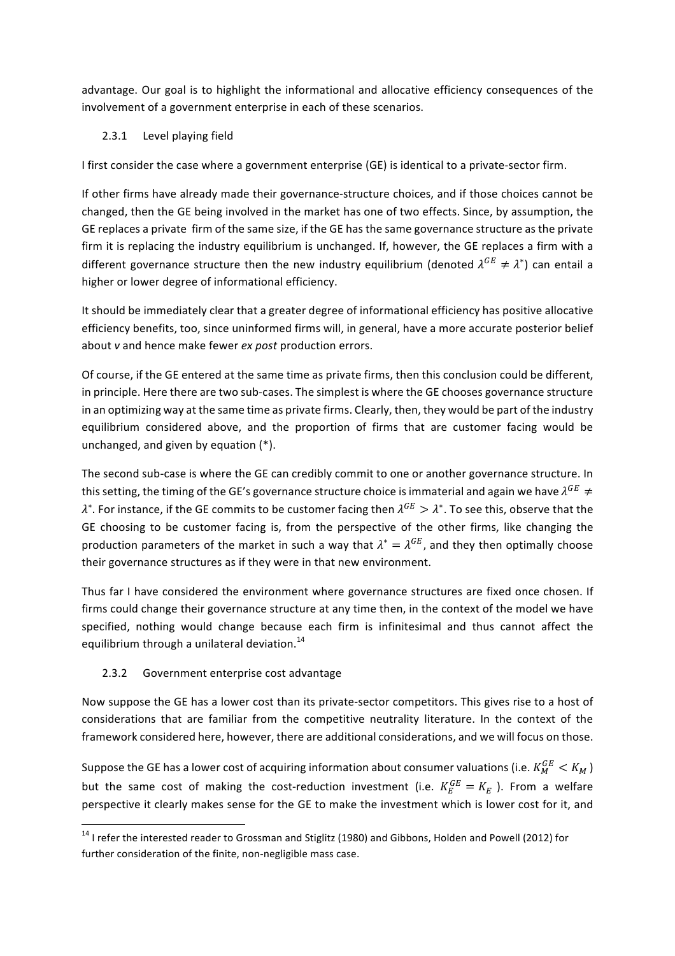advantage. Our goal is to highlight the informational and allocative efficiency consequences of the involvement of a government enterprise in each of these scenarios.

# 2.3.1 Level playing field

I first consider the case where a government enterprise (GE) is identical to a private-sector firm.

If other firms have already made their governance-structure choices, and if those choices cannot be changed, then the GE being involved in the market has one of two effects. Since, by assumption, the GE replaces a private firm of the same size, if the GE has the same governance structure as the private firm it is replacing the industry equilibrium is unchanged. If, however, the GE replaces a firm with a different governance structure then the new industry equilibrium (denoted  $\lambda^{GE} \neq \lambda^*$ ) can entail a higher or lower degree of informational efficiency.

It should be immediately clear that a greater degree of informational efficiency has positive allocative efficiency benefits, too, since uninformed firms will, in general, have a more accurate posterior belief about *v* and hence make fewer *ex post* production errors.

Of course, if the GE entered at the same time as private firms, then this conclusion could be different, in principle. Here there are two sub-cases. The simplest is where the GE chooses governance structure in an optimizing way at the same time as private firms. Clearly, then, they would be part of the industry equilibrium considered above, and the proportion of firms that are customer facing would be unchanged, and given by equation  $(*)$ .

The second sub-case is where the GE can credibly commit to one or another governance structure. In this setting, the timing of the GE's governance structure choice is immaterial and again we have  $\lambda^{GE} \neq$  $\lambda^*$ . For instance, if the GE commits to be customer facing then  $\lambda^{GE} > \lambda^*$ . To see this, observe that the GE choosing to be customer facing is, from the perspective of the other firms, like changing the production parameters of the market in such a way that  $\lambda^* = \lambda^{GE}$ , and they then optimally choose their governance structures as if they were in that new environment.

Thus far I have considered the environment where governance structures are fixed once chosen. If firms could change their governance structure at any time then, in the context of the model we have specified, nothing would change because each firm is infinitesimal and thus cannot affect the equilibrium through a unilateral deviation.<sup>14</sup>

# 2.3.2 Government enterprise cost advantage

Now suppose the GE has a lower cost than its private-sector competitors. This gives rise to a host of considerations that are familiar from the competitive neutrality literature. In the context of the framework considered here, however, there are additional considerations, and we will focus on those.

Suppose the GE has a lower cost of acquiring information about consumer valuations (i.e.  $K_M^{GE} < K_M$  ) but the same cost of making the cost-reduction investment (i.e.  $K_E^{GE}=K_E$  ). From a welfare perspective it clearly makes sense for the GE to make the investment which is lower cost for it, and

<sup>&</sup>lt;u> 1989 - Johann Barn, mars ann an t-Amhain an t-Amhain an t-Amhain an t-Amhain an t-Amhain an t-Amhain an t-Amh</u>  $14$  I refer the interested reader to Grossman and Stiglitz (1980) and Gibbons, Holden and Powell (2012) for further consideration of the finite, non-negligible mass case.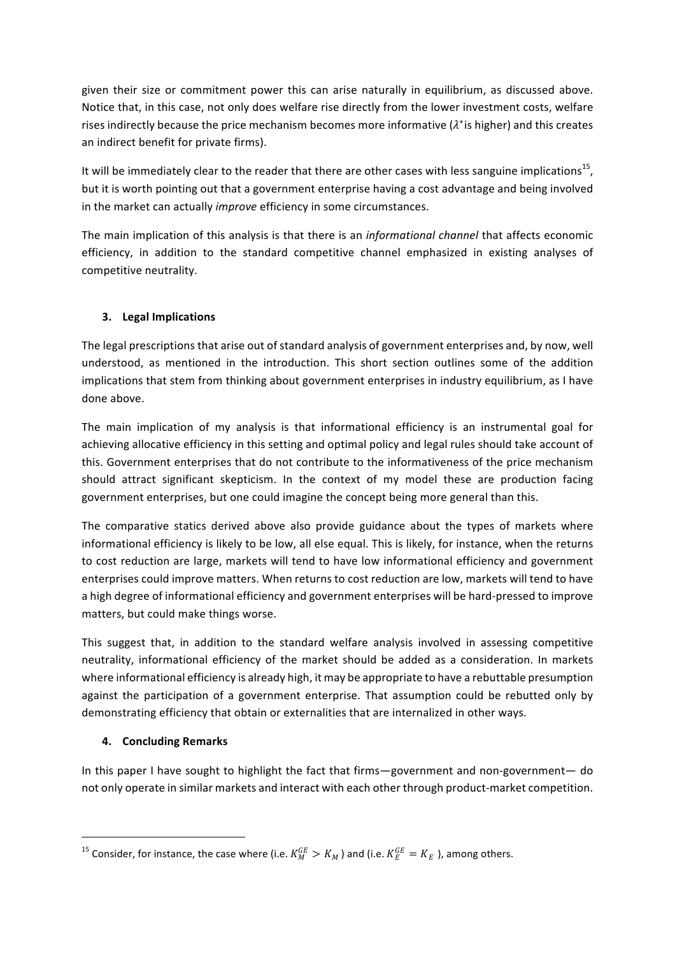given their size or commitment power this can arise naturally in equilibrium, as discussed above. Notice that, in this case, not only does welfare rise directly from the lower investment costs, welfare rises indirectly because the price mechanism becomes more informative  $(\lambda^*)$  is higher) and this creates an indirect benefit for private firms).

It will be immediately clear to the reader that there are other cases with less sanguine implications<sup>15</sup>, but it is worth pointing out that a government enterprise having a cost advantage and being involved in the market can actually *improve* efficiency in some circumstances.

The main implication of this analysis is that there is an *informational channel* that affects economic efficiency, in addition to the standard competitive channel emphasized in existing analyses of competitive neutrality.

# **3. Legal Implications**

The legal prescriptions that arise out of standard analysis of government enterprises and, by now, well understood, as mentioned in the introduction. This short section outlines some of the addition implications that stem from thinking about government enterprises in industry equilibrium, as I have done above.

The main implication of my analysis is that informational efficiency is an instrumental goal for achieving allocative efficiency in this setting and optimal policy and legal rules should take account of this. Government enterprises that do not contribute to the informativeness of the price mechanism should attract significant skepticism. In the context of my model these are production facing government enterprises, but one could imagine the concept being more general than this.

The comparative statics derived above also provide guidance about the types of markets where informational efficiency is likely to be low, all else equal. This is likely, for instance, when the returns to cost reduction are large, markets will tend to have low informational efficiency and government enterprises could improve matters. When returns to cost reduction are low, markets will tend to have a high degree of informational efficiency and government enterprises will be hard-pressed to improve matters, but could make things worse.

This suggest that, in addition to the standard welfare analysis involved in assessing competitive neutrality, informational efficiency of the market should be added as a consideration. In markets where informational efficiency is already high, it may be appropriate to have a rebuttable presumption against the participation of a government enterprise. That assumption could be rebutted only by demonstrating efficiency that obtain or externalities that are internalized in other ways.

# **4. Concluding Remarks**

<u> 1989 - Johann Barn, mars ann an t-Amhain an t-Amhain an t-Amhain an t-Amhain an t-Amhain an t-Amhain an t-Amh</u>

In this paper I have sought to highlight the fact that firms—government and non-government— do not only operate in similar markets and interact with each other through product-market competition.

<sup>&</sup>lt;sup>15</sup> Consider, for instance, the case where (i.e.  $K_M^{GE}\,>K_M$  ) and (i.e.  $K_E^{GE}\,=K_E$  ), among others.